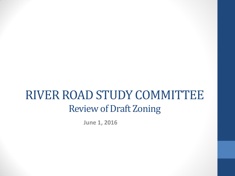### RIVER ROAD STUDY COMMITTEE Review of Draft Zoning

**June 1, 2016**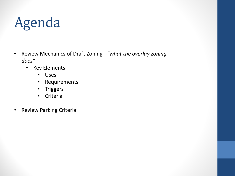# Agenda

- Review Mechanics of Draft Zoning -*"what the overlay zoning does"*
	- Key Elements:
		- Uses
		- Requirements
		- Triggers
		- Criteria
- Review Parking Criteria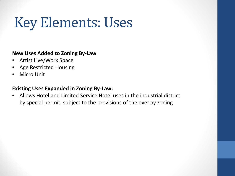## Key Elements: Uses

#### **New Uses Added to Zoning By-Law**

- Artist Live/Work Space
- Age Restricted Housing
- **Micro Unit**

#### **Existing Uses Expanded in Zoning By-Law:**

• Allows Hotel and Limited Service Hotel uses in the industrial district by special permit, subject to the provisions of the overlay zoning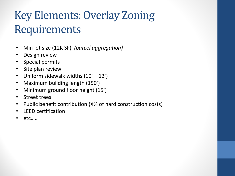### Key Elements: Overlay Zoning Requirements

- Min lot size (12K SF) *(parcel aggregation)*
- Design review
- Special permits
- Site plan review
- Uniform sidewalk widths  $(10' 12')$
- Maximum building length (150')
- Minimum ground floor height (15')
- Street trees
- Public benefit contribution (X% of hard construction costs)
- LEED certification
- $etc....$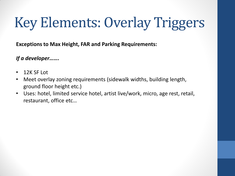# Key Elements: Overlay Triggers

**Exceptions to Max Height, FAR and Parking Requirements:**

#### *If a developer…….*

- 12K SF Lot
- Meet overlay zoning requirements (sidewalk widths, building length, ground floor height etc.)
- Uses: hotel, limited service hotel, artist live/work, micro, age rest, retail, restaurant, office etc…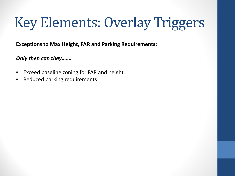# Key Elements: Overlay Triggers

**Exceptions to Max Height, FAR and Parking Requirements:**

*Only then can they…….*

- Exceed baseline zoning for FAR and height
- Reduced parking requirements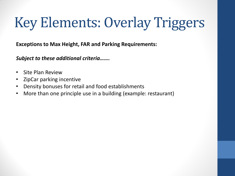# Key Elements: Overlay Triggers

**Exceptions to Max Height, FAR and Parking Requirements:**

*Subject to these additional criteria…….*

- Site Plan Review
- ZipCar parking incentive
- Density bonuses for retail and food establishments
- More than one principle use in a building (example: restaurant)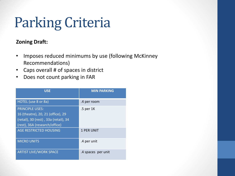## Parking Criteria

#### **Zoning Draft:**

- Imposes reduced minimums by use (following McKinney Recommendations)
- Caps overall # of spaces in district
- Does not count parking in FAR

| <b>USE</b>                                                                                                                            | <b>MIN PARKING</b> |
|---------------------------------------------------------------------------------------------------------------------------------------|--------------------|
| HOTEL (use 8 or 8a)                                                                                                                   | .4 per room        |
| <b>PRINCIPLE USES:</b><br>16 (theatre), 20, 21 (office), 29<br>(retail), 30 (rest), 33a (retail), 34<br>(rest), 36A (research/office) | .5 per 1K          |
| <b>AGE RESTRICTED HOUSING</b>                                                                                                         | 1 PER UNIT         |
| <b>MICRO UNITS</b>                                                                                                                    | .4 per unit        |
| <b>ARTIST LIVE/WORK SPACE</b>                                                                                                         | .4 spaces per unit |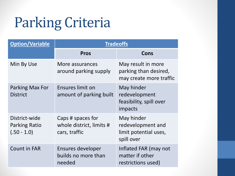## Parking Criteria

| <b>Option/Variable</b>                                 | <b>Tradeoffs</b>                                               |                                                                        |
|--------------------------------------------------------|----------------------------------------------------------------|------------------------------------------------------------------------|
|                                                        | <b>Pros</b>                                                    | Cons                                                                   |
| Min By Use                                             | More assurances<br>around parking supply                       | May result in more<br>parking than desired,<br>may create more traffic |
| Parking Max For<br><b>District</b>                     | Ensures limit on<br>amount of parking built                    | May hinder<br>redevelopment<br>feasibility, spill over<br>impacts      |
| District-wide<br><b>Parking Ratio</b><br>$(.50 - 1.0)$ | Caps # spaces for<br>whole district, limits #<br>cars, traffic | May hinder<br>redevelopment and<br>limit potential uses,<br>spill over |
| <b>Count in FAR</b>                                    | Ensures developer<br>builds no more than<br>needed             | Inflated FAR (may not<br>matter if other<br>restrictions used)         |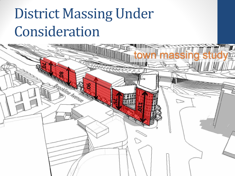# **District Massing Under** Consideration